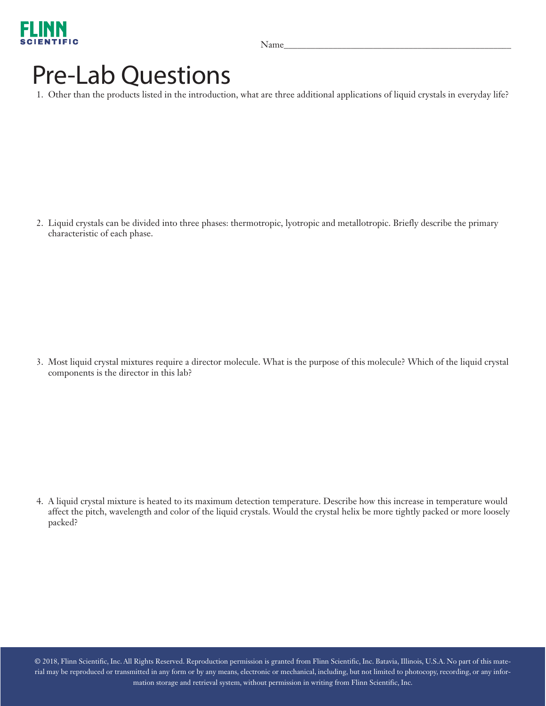

## Pre-Lab Questions

1. Other than the products listed in the introduction, what are three additional applications of liquid crystals in everyday life?

2. Liquid crystals can be divided into three phases: thermotropic, lyotropic and metallotropic. Briefly describe the primary characteristic of each phase.

3. Most liquid crystal mixtures require a director molecule. What is the purpose of this molecule? Which of the liquid crystal components is the director in this lab?

4. A liquid crystal mixture is heated to its maximum detection temperature. Describe how this increase in temperature would affect the pitch, wavelength and color of the liquid crystals. Would the crystal helix be more tightly packed or more loosely packed?

© 2018, Flinn Scientific, Inc. All Rights Reserved. Reproduction permission is granted from Flinn Scientific, Inc. Batavia, Illinois, U.S.A. No part of this material may be reproduced or transmitted in any form or by any means, electronic or mechanical, including, but not limited to photocopy, recording, or any information storage and retrieval system, without permission in writing from Flinn Scientific, Inc.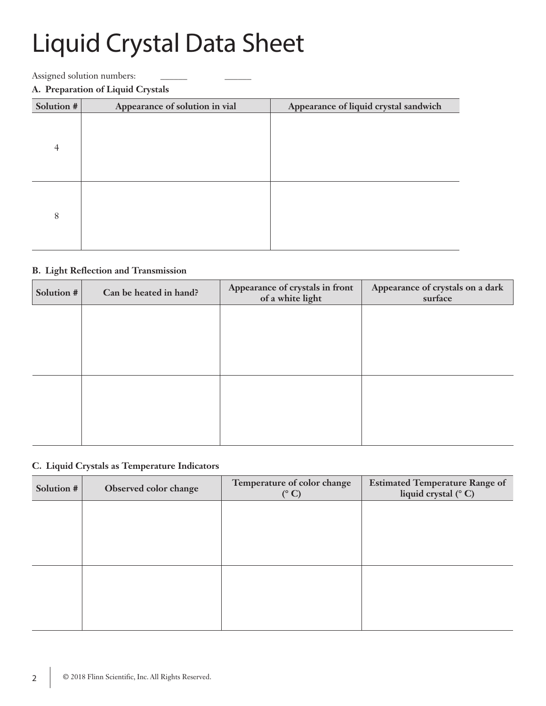# Liquid Crystal Data Sheet

Assigned solution numbers:

#### **A. Preparation of Liquid Crystals**

| Solution #     | Appearance of solution in vial | Appearance of liquid crystal sandwich |
|----------------|--------------------------------|---------------------------------------|
| $\overline{4}$ |                                |                                       |
|                |                                |                                       |
|                |                                |                                       |
| 8              |                                |                                       |
|                |                                |                                       |

#### **B. Light Reflection and Transmission**

| Solution # | Can be heated in hand? | Appearance of crystals in front<br>of a white light | Appearance of crystals on a dark<br>surface |
|------------|------------------------|-----------------------------------------------------|---------------------------------------------|
|            |                        |                                                     |                                             |
|            |                        |                                                     |                                             |
|            |                        |                                                     |                                             |
|            |                        |                                                     |                                             |
|            |                        |                                                     |                                             |
|            |                        |                                                     |                                             |

#### **C. Liquid Crystals as Temperature Indicators**

| Solution # | Observed color change | Temperature of color change<br>$(^{\circ}C)$ | <b>Estimated Temperature Range of</b><br>liquid crystal (°C) |
|------------|-----------------------|----------------------------------------------|--------------------------------------------------------------|
|            |                       |                                              |                                                              |
|            |                       |                                              |                                                              |
|            |                       |                                              |                                                              |
|            |                       |                                              |                                                              |
|            |                       |                                              |                                                              |
|            |                       |                                              |                                                              |